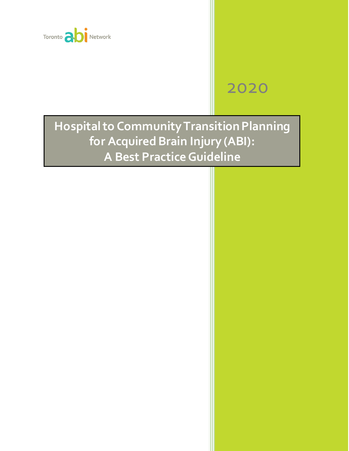

# 2020

**Hospital to CommunityTransition Planning for Acquired Brain Injury (ABI): A Best PracticeGuideline**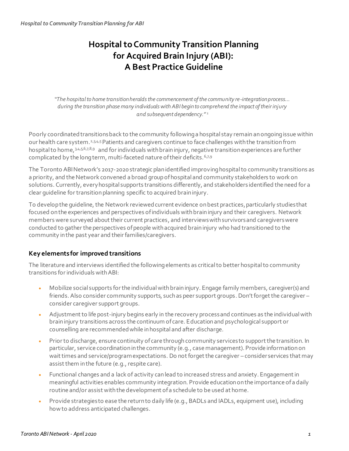# **Hospital to Community Transition Planning for Acquired Brain Injury (ABI): A Best Practice Guideline**

*"The hospital to home transition heralds the commencement of the community re-integration process… during the transition phase many individuals with ABI begin to comprehend the impact of their injury and subsequent dependency." <sup>1</sup>*

Poorly coordinated transitions back to the community following a hospital stay remain an ongoing issue within our health care system.<sup>2,3,4,5</sup> Patients and caregivers continue to face challenges with the transition from hospital to home, 3,4,5,6,7,8,9 and for individuals with brain injury, negative transition experiences are further complicated by the long term, multi-faceted nature of their deficits. 6,7,9

The Toronto ABI Network's 2017-2020 strategic plan identified improvinghospital to community transitions as a priority, and the Network convened a broad group of hospital and community stakeholders to work on solutions. Currently, every hospital supports transitions differently, and stakeholders identified the need for a clear quideline for transition planning specific to acquired brain injury.

To develop the guideline, the Network reviewed current evidence on best practices, particularly studies that focused on the experiences and perspectives of individuals with brain injury and their caregivers. Network members were surveyed about their current practices, and interviews with survivors and caregivers were conducted to gather the perspectives of people with acquired brain injury who had transitioned to the community in the past year and their families/caregivers.

# **Key elements for improved transitions**

The literature and interviews identified the following elements as critical to better hospital to community transitions for individuals with ABI:

- Mobilize social supports for the individual with brain injury. Engage family members, caregiver(s) and friends. Also consider community supports, such as peer support groups. Don't forget the caregiver – consider caregiver support groups.
- Adjustment to life post-injury begins early in the recovery process and continues as the individual with brain injury transitions across the continuum of care. Education and psychological support or counselling are recommended while in hospital and after discharge.
- Prior to discharge, ensure continuity of care through community services to support the transition. In particular, service coordination in the community (e.g., case management). Provide information on wait times and service/program expectations. Do not forget the caregiver – consider services that may assist them in the future (e.g., respite care).
- Functional changes and a lack of activity can lead to increased stress and anxiety. Engagement in meaningful activities enables community integration. Provide education on the importance of a daily routine and/or assist withthe development of a schedule to be used at home.
- Provide strategies to ease the return to daily life (e.g., BADLs and IADLs, equipment use), including how to address anticipated challenges.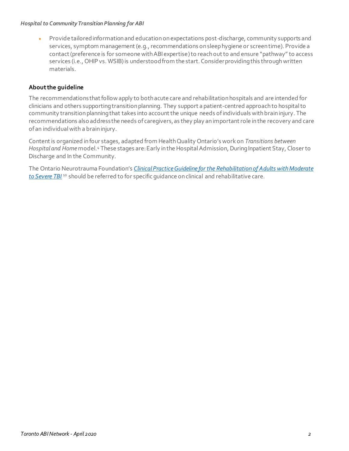#### *Hospital to Community Transition Planning for ABI*

• Provide tailored information and education on expectations post-discharge, community supports and services, symptom management (e.g., recommendations on sleep hygiene or screen time). Provide a contact (preference is for someone with ABI expertise)to reach out to and ensure "pathway" to access services (i.e., OHIP vs. WSIB) is understood from the start. Consider providing this through written materials.

# **About the guideline**

The recommendations that follow apply to both acute care and rehabilitation hospitals and are intended for clinicians and others supporting transition planning. They support a patient-centred approachto hospital to community transition planning that takes into account the unique needs of individuals with brain injury. The recommendations also address the needs of caregivers, as they play an important role in the recovery and care of an individual with a brain injury.

Content is organized in four stages, adapted from Health Quality Ontario's work on *Transitions between Hospital and Home*model.<sup>4</sup> These stages are: Early in the Hospital Admission, During Inpatient Stay, Closer to Discharge and In the Community.

The Ontario Neurotrauma Foundation's *Clinical Practice Guideline for the [Rehabilitation of Adults with Moderate](https://braininjuryguidelines.org/modtosevere/guideline-components/recommendations/)*  [to Severe TBI](https://braininjuryguidelines.org/modtosevere/guideline-components/recommendations/)<sup>10</sup> should be referred to for specific quidance on clinical and rehabilitative care.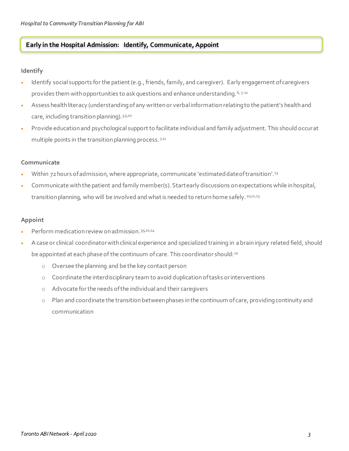# **Early in the Hospital Admission: Identify, Communicate, Appoint**

# **Identify**

- Identify social supports for the patient (e.g., friends, family, and caregiver). Early engagement of caregivers provides them with opportunities to ask questions and enhance understanding. 6, 7, 11
- Assess health literacy (understanding of any written or verbal information relating to the patient's health and care, including transition planning). 3,5,10
- Provide education and psychological support to facilitate individual and family adjustment. This should occur at multiple points in the transition planning process.<sup>7,11</sup>

# **Communicate**

- Within 72 hours of admission, where appropriate, communicate 'estimated date of transition'.<sup>13</sup>
- Communicate with the patient and family member(s). Start early discussions on expectations while in hospital, transition planning, who will be involved and what is needed to return home safely.<sup>10,12,13</sup>

# **Appoint**

- Perform medication review on admission. 35,10,14
- A case or clinical coordinator with clinical experience and specialized training in a brain injury related field, should be appointed at each phase of the continuum of care. This coordinator should: 10
	- o Oversee the planning and be the key contact person
	- o Coordinate the interdisciplinary team to avoid duplication of tasks or interventions
	- o Advocate for the needs of the individual and their caregivers
	- o Plan and coordinate the transition between phases in the continuum of care, providing continuity and communication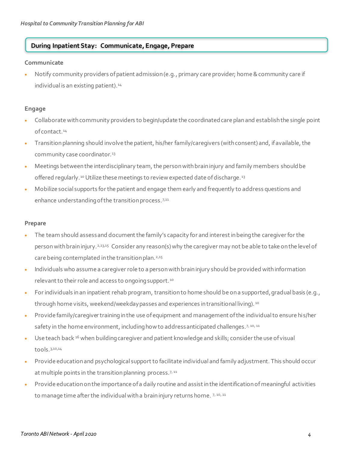# **During Inpatient Stay: Communicate, Engage, Prepare**

# **Communicate**

• Notify community providers of patient admission (e.g., primary care provider; home & community care if individual is an existing patient).<sup>14</sup>

# **Engage**

- Collaborate with community providers to begin/update the coordinated care plan and establish the single point of contact.<sup>14</sup>
- Transition planning should involve the patient, his/her family/caregivers (with consent) and, if available, the community case coordinator.<sup>13</sup>
- Meetings between the interdisciplinary team, the person with brain injury and family members should be offered regularly.<sup>10</sup> Utilize these meetings to review expected date of discharge.<sup>13</sup>
- Mobilize social supports for the patient and engage them early and frequently to address questions and enhance understanding of the transition process. 7,11

# **Prepare**

- The team should assess and document the family's capacity for and interest in being the caregiver for the person with brain injury.<sup>2,13,15</sup> Consider any reason(s) why the caregiver may not be able to take on the level of care being contemplated in the transition plan.<sup>2,15</sup>
- Individuals who assume a caregiver role to a person with brain injury should be provided with information relevant to their role and access to ongoing support. <sup>10</sup>
- For individuals in an inpatient rehab program, transition to home should be on a supported, gradual basis (e.g., through home visits, weekend/weekday passes and experiences in transitional living). 10
- Provide family/caregiver training in the use of equipment and management of the individual to ensure his/her safety in the home environment, including how to address anticipated challenges.  $7,10,11$
- Use teach back <sup>16</sup> when building caregiver and patient knowledge and skills; consider the use of visual tools.3,10,14
- Provide education and psychological support to facilitate individual and family adjustment. This should occur at multiple points in the transition planning process.<sup>7, 11</sup>
- Provide education on the importance of a daily routine and assist in the identification of meaningful activities to manage time after the individual with a brain injury returns home. 7, 10, 11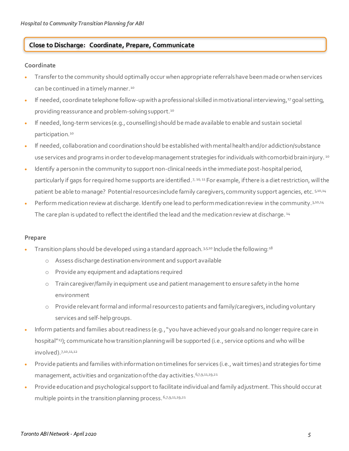# **Close to Discharge: Coordinate, Prepare, Communicate**

# **Coordinate**

- Transfer to the community should optimally occur when appropriate referrals have been made or when services can be continued in a timely manner.<sup>10</sup>
- If needed, coordinate telephone follow-up with a professional skilled in motivational interviewing, <sup>17</sup> goal setting, providing reassurance and problem-solving support.<sup>10</sup>
- If needed, long-term services (e.g., counselling) should be made available to enable and sustain societal participation.<sup>10</sup>
- If needed, collaboration and coordination should be established with mental health and/or addiction/substance use services and programs in order to develop management strategies for individuals with comorbid brain injury. <sup>10</sup>
- Identify a person in the community to support non-clinical needs in the immediate post-hospital period, particularly if gaps for required home supports are identified. 7, 10, 11 For example, if there is a diet restriction, will the patient be able to manage? Potential resources include family caregivers, community support agencies, etc. 5,10,14
- Perform medication review at discharge. Identify one lead to perform medication review in the community.<sup>3,10,14</sup> The care plan is updated to reflect the identified the lead and the medication review at discharge. 14

# **Prepare**

- Transition plans should be developed using a standard approach. 3,5,10 Include the following: 18
	- o Assess discharge destination environment and support available
	- o Provide any equipment and adaptations required
	- $\circ$  Train caregiver/family in equipment use and patient management to ensure safety in the home environment
	- o Provide relevant formal and informal resources to patients and family/caregivers, including voluntary services and self-help groups.
- Inform patients and families about readiness (e.g.,"you have achieved your goals and no longer require care in hospital"<sup>13</sup>); communicate how transition planning will be supported (i.e., service options and who will be involved).7,10,11,12
- Provide patients and families with information on timelines for services (i.e., wait times) and strategies for time management, activities and organization of the day activities. 6,7,9,11,19,21
- Provide education and psychological support to facilitate individual and family adjustment. This should occur at multiple points in the transition planning process. 6,7,9,11,19,21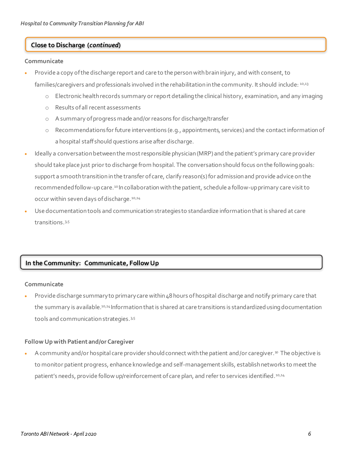# **Close to Discharge (***continued***)**

#### **Communicate**

• Provide a copy of the discharge report and care to the person with brain injury, and with consent, to

families/caregivers and professionals involved in the rehabilitation in the community. It should include: 10,13

- o Electronic health records summary or report detailing the clinical history, examination, and any imaging
- o Results of all recent assessments
- o A summary of progress made and/or reasons for discharge/transfer
- o Recommendations for future interventions (e.g., appointments, services) and the contact information of a hospital staff should questions arise after discharge.
- Ideally a conversation between the most responsible physician (MRP) and the patient's primary care provider should take place just prior to discharge from hospital. The conversation should focus on the following goals: support a smooth transition in the transfer of care, clarify reason(s) for admission and provide advice on the recommended follow-up care.<sup>10</sup> In collaboration with the patient, schedule a follow-up primary care visit to occur within seven days of discharge.<sup>10,14</sup>
- Use documentation tools and communication strategies to standardize information that is shared at care transitions.3,5

# **In the Community: Communicate, FollowUp**

#### **Communicate**

• Provide discharge summary to primary care within 48 hours of hospital discharge and notify primary care that the summary is available.<sup>10,14</sup> Information that is shared at care transitions is standardized using documentation tools and communication strategies. 3,5

# **Follow Up with Patient and/or Caregiver**

• A community and/or hospital care provider should connect with the patient and/or caregiver.<sup>10</sup> The objective is to monitor patient progress, enhance knowledge and self-management skills, establish networks to meet the patient's needs, provide follow up/reinforcement of care plan, and refer to services identified.<sup>10,14</sup>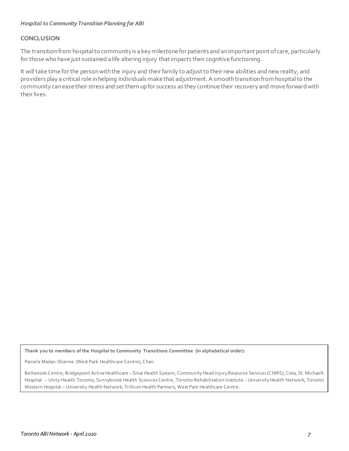# **CONCLUSION**

The transition from hospital to community is a key milestone for patients and an important point of care, particularly for those who have just sustained a life altering injury that impacts their cognitive functioning.

It will take time for the person with the injury and their family to adjust to their new abilities and new reality, and providers play a critical role in helping individuals make that adjustment. A smooth transition from hospital to the community can ease their stress and set them up for success as they continue their recovery and move forward with their lives.

**Thank you to members of the Hospital to Community Transitions Committee (in alphabetical order):** 

Pamela Madan-Sharma (West Park Healthcare Centre), Chair.

Bellwoods Centre, Bridgepoint Active Healthcare – Sinai Health System, Community Head Injury Resource Services (CHIRS), Cota, St. Michael's Hospital – Unity Health Toronto, Sunnybrook Health Sciences Centre, Toronto Rehabilitation Institute –University Health Network, Toronto Western Hospital – University Health Network, Trillium Health Partners, West Park Healthcare Centre.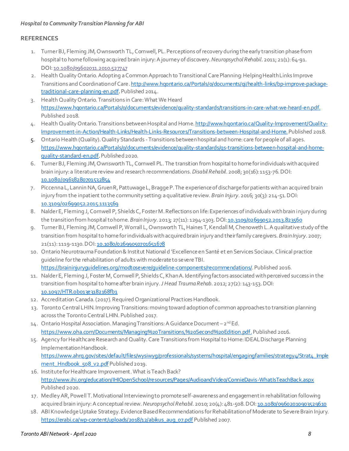# **REFERENCES**

- 1. Turner BJ, Fleming JM, Ownsworth TL, Cornwell, PL. Perceptions of recovery during the early transition phase from hospital to home following acquired brain injury:A journey of discovery. *Neuropsychol Rehabil*. 2011; 21(1): 64-91. DOI: [10.1080/09602011.2010.527747](https://doi.org/10.1080/09602011.2010.527747)
- 2. Health Quality Ontario. Adopting a Common Approach to Transitional Care Planning: Helping Health Links Improve Transitions and Coordination of Care[.http://www.hqontario.ca/Portals/0/documents/qi/health-links/bp-improve-package](http://www.hqontario.ca/Portals/0/documents/qi/health-links/bp-improve-package-traditional-care-planning-en.pdf)[traditional-care-planning-en.pdf](http://www.hqontario.ca/Portals/0/documents/qi/health-links/bp-improve-package-traditional-care-planning-en.pdf). Published 2014.
- 3. Health Quality Ontario. Transitions in Care: What We Heard <https://www.hqontario.ca/Portals/0/documents/evidence/quality-standards/transitions-in-care-what-we-heard-en.pdf>. Published 2018.
- 4. Health Quality Ontario. Transitions between Hospital and Home. http://www.hqontario.ca/Quality-Improvement/Quality-[Improvement-in-Action/Health-Links/Health-Links-Resources/Transitions-between-Hospital-and-Home](http://www.hqontario.ca/Quality-Improvement/Quality-Improvement-in-Action/Health-Links/Health-Links-Resources/Transitions-between-Hospital-and-Home).Published 2018.
- 5. Ontario Health (Quality). Quality Standards -Transitions between hospital and home: care for people of all ages. [https://www.hqontario.ca/Portals/0/documents/evidence/quality-standards/qs-transitions-between-hospital-and-home](https://www.hqontario.ca/Portals/0/documents/evidence/quality-standards/qs-transitions-between-hospital-and-home-quality-standard-en.pdf)[quality-standard-en.pdf](https://www.hqontario.ca/Portals/0/documents/evidence/quality-standards/qs-transitions-between-hospital-and-home-quality-standard-en.pdf). Published 2020.
- 6. Turner BJ, Fleming JM, Ownsworth TL, Cornwell PL. The transition from hospital to home for individuals with acquired brain injury: a literature review and research recommendations. *Disabil Rehabil*. 2008; 30(16): 1153-76.DOI: [10.1080/09638280701532854](https://doi.org/10.1080/09638280701532854)
- 7. Piccenna L, Lannin NA, Gruen R, Pattuwage L, Bragge P. The experience of discharge for patients with an acquired brain injury from the inpatient to the community setting: a qualitative review. *Brain Injury*. 2016; 30(3): 214-51.DOI: [10.3109/02699052.2015.1113569](https://doi.org/10.3109/02699052.2015.1113569)
- 8. NalderE, Fleming J, Cornwell P, Shields C, Foster M. Reflections on life: Experiences of individuals with brain injury during the transition from hospital to home. *Brain Injury*. 2013; 27(11): 1294-1303.DOI: [10.3109/02699052.2013.823560](https://doi.org/10.3109/02699052.2013.823560)
- 9. Turner BJ, Fleming JM, Cornwell P, Worrall L, Ownsworth TL, Haines T, Kendall M, Chenoweth L. A qualitative study of the transition from hospital to home for individuals with acquired brain injury and their family caregivers. *Brain Injury*. 2007; 21(11): 1119-1130.DO[I: 10.1080/02699050701651678](https://doi.org/10.1080/02699050701651678)
- 10. Ontario Neurotrauma Foundation & Institut National d 'Excellence en Santé et en Services Sociaux. Clinical practice guideline for the rehabilitation of adults with moderate to severe TBI. <https://braininjuryguidelines.org/modtosevere/guideline-components/recommendations/>. Published 2016.
- 11. Nalder E, Fleming J, Foster M, Cornwell P, Shields C, Khan A. Identifying factors associated with perceived success in the transition from hospital to home after brain injury. *J Head Trauma Rehab*. 2012; 27(2): 143-153.DOI: [10.1097/HTR.0b013e3182168fb1](https://doi.org/10.1097/HTR.0b013e3182168fb1)
- 12. Accreditation Canada. (2017). Required Organizational Practices Handbook.
- 13. Toronto Central LHIN. Improving Transitions: moving toward adoption of common approaches to transition planning across the Toronto Central LHIN. Published 2017.
- 14. Ontario Hospital Association. Managing Transitions: A Guidance Document 2<sup>nd</sup> Ed. <https://www.oha.com/Documents/Managing%20Transitions,%20Second%20Edition.pdf>. Published 2016.
- 15. Agency for Healthcare Research and Quality. Care Transitions from Hospital to Home: IDEAL Discharge Planning Implementation Handbook. [https://www.ahrq.gov/sites/default/files/wysiwyg/professionals/systems/hospital/engagingfamilies/strategy4/Strat4\\_Imple](https://www.ahrq.gov/sites/default/files/wysiwyg/professionals/systems/hospital/engagingfamilies/strategy4/Strat4_Implement_Hndbook_508_v2.pdf)

[ment\\_Hndbook\\_508\\_v2.pdf](https://www.ahrq.gov/sites/default/files/wysiwyg/professionals/systems/hospital/engagingfamilies/strategy4/Strat4_Implement_Hndbook_508_v2.pdf) Published 2019. 16. Institute for Healthcare Improvement. What is Teach Back? <http://www.ihi.org/education/IHIOpenSchool/resources/Pages/AudioandVideo/ConnieDavis-WhatIsTeachBack.aspx> Published 2020.

- 17. Medley AR, Powell T. Motivational Interviewing to promote self-awareness and engagement in rehabilitation following acquired brain injury: A conceptual review. *Neuropsychol Rehabil*. 2010; 20(4): 481-508.DO[I: 10.1080/09602010903529610](https://doi.org/10.1080/09602010903529610)
- 18. ABI Knowledge Uptake Strategy. Evidence Based Recommendations for Rehabilitation of Moderate to Severe Brain Injury. [https://erabi.ca/wp-content/uploads/2018/12/abikus\\_aug\\_07.pdf](https://erabi.ca/wp-content/uploads/2018/12/abikus_aug_07.pdf) Published 2007.